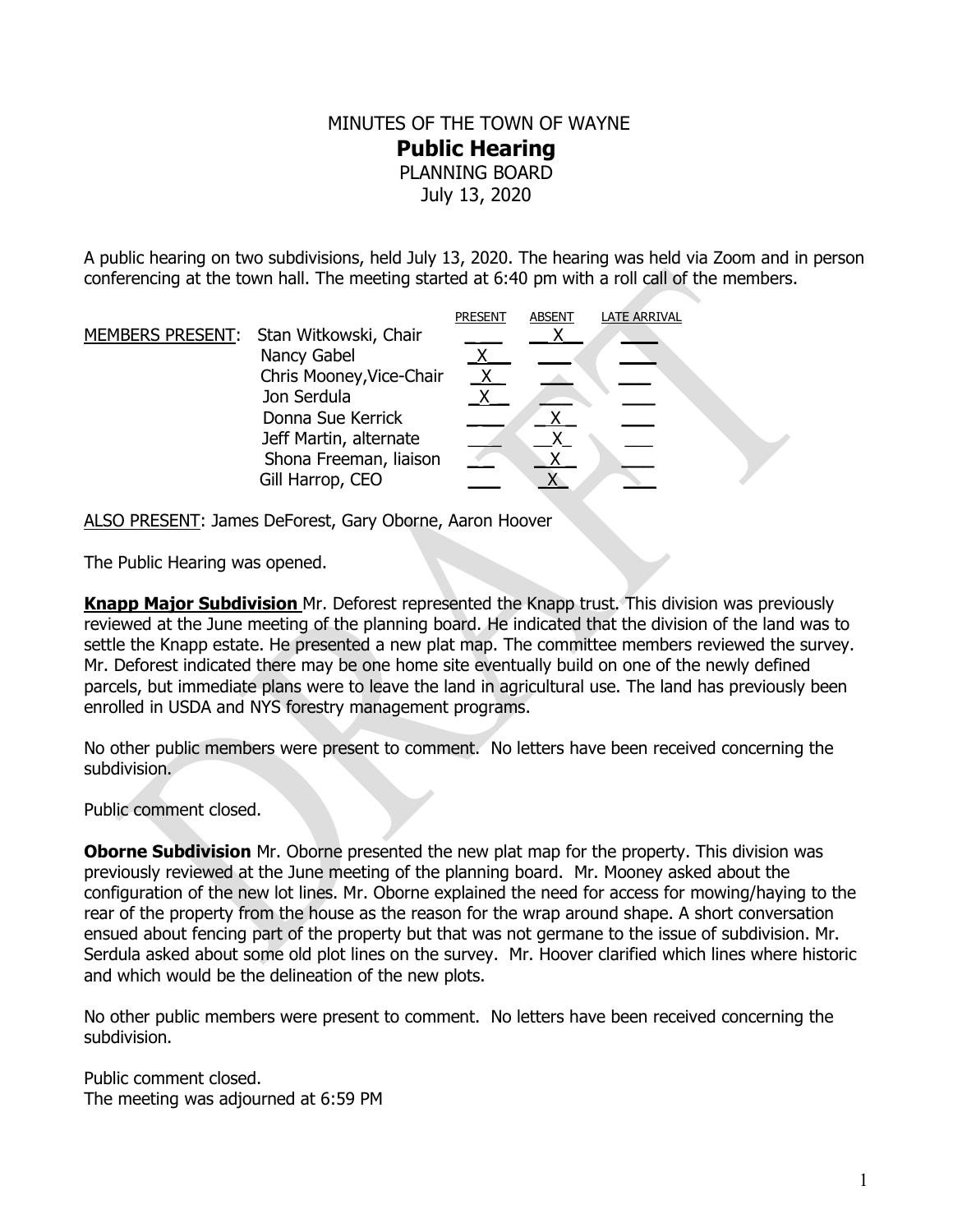## MINUTES OF THE TOWN OF WAYNE **Public Hearing**  PLANNING BOARD July 13, 2020

A public hearing on two subdivisions, held July 13, 2020. The hearing was held via Zoom and in person conferencing at the town hall. The meeting started at 6:40 pm with a roll call of the members.

|                                        | <b>PRESENT</b> | <b>ABSENT</b> | <b>LATE ARRIVAL</b> |
|----------------------------------------|----------------|---------------|---------------------|
| MEMBERS PRESENT: Stan Witkowski, Chair |                |               |                     |
| Nancy Gabel                            |                |               |                     |
| Chris Mooney, Vice-Chair               |                |               |                     |
| Jon Serdula                            |                |               |                     |
| Donna Sue Kerrick                      |                |               |                     |
| Jeff Martin, alternate                 |                |               |                     |
| Shona Freeman, liaison                 |                |               |                     |
| Gill Harrop, CEO                       |                |               |                     |

ALSO PRESENT: James DeForest, Gary Oborne, Aaron Hoover

The Public Hearing was opened.

**Knapp Major Subdivision** Mr. Deforest represented the Knapp trust. This division was previously reviewed at the June meeting of the planning board. He indicated that the division of the land was to settle the Knapp estate. He presented a new plat map. The committee members reviewed the survey. Mr. Deforest indicated there may be one home site eventually build on one of the newly defined parcels, but immediate plans were to leave the land in agricultural use. The land has previously been enrolled in USDA and NYS forestry management programs.

No other public members were present to comment. No letters have been received concerning the subdivision.

Public comment closed.

**Oborne Subdivision** Mr. Oborne presented the new plat map for the property. This division was previously reviewed at the June meeting of the planning board. Mr. Mooney asked about the configuration of the new lot lines. Mr. Oborne explained the need for access for mowing/haying to the rear of the property from the house as the reason for the wrap around shape. A short conversation ensued about fencing part of the property but that was not germane to the issue of subdivision. Mr. Serdula asked about some old plot lines on the survey. Mr. Hoover clarified which lines where historic and which would be the delineation of the new plots.

No other public members were present to comment. No letters have been received concerning the subdivision.

Public comment closed. The meeting was adjourned at 6:59 PM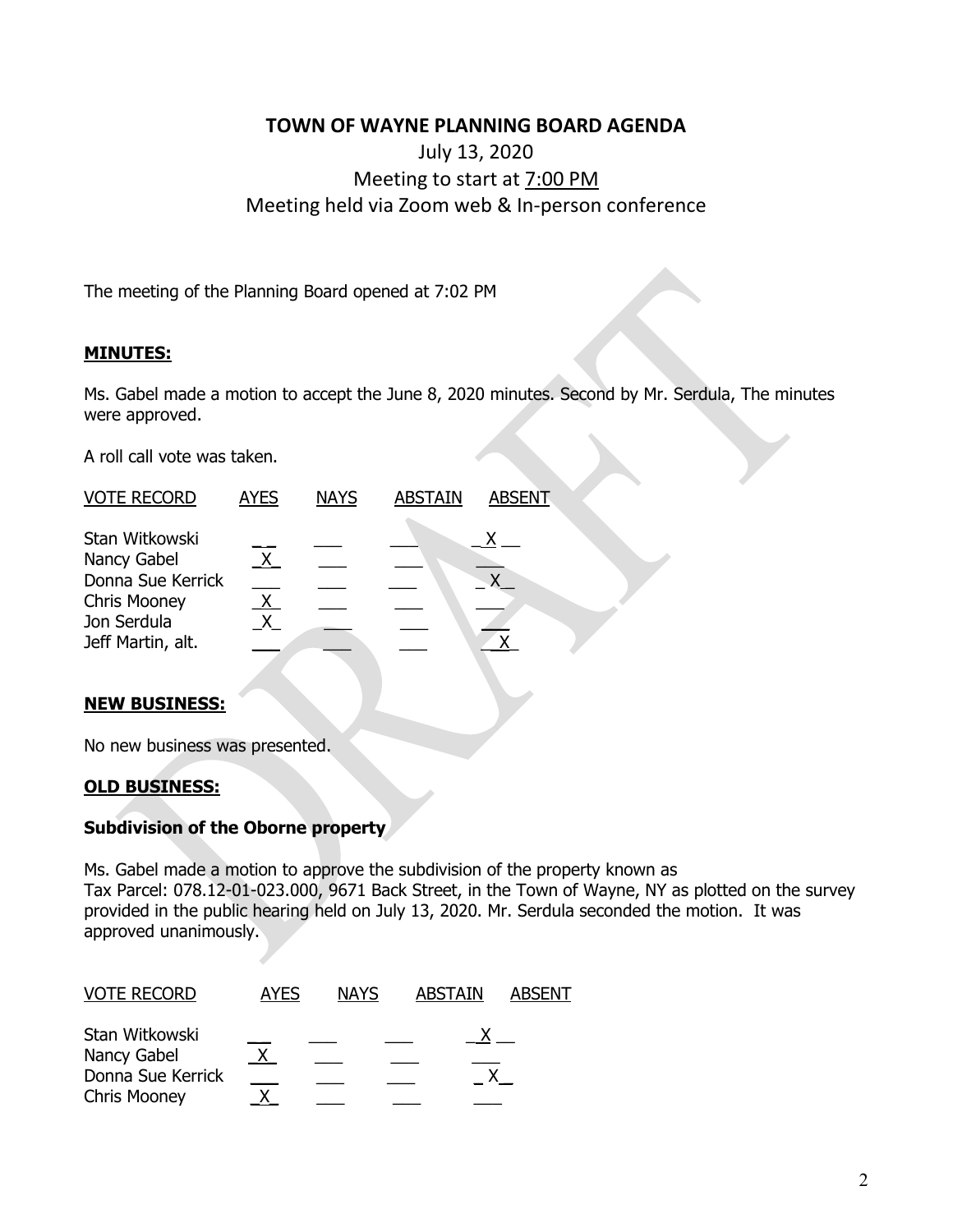## **TOWN OF WAYNE PLANNING BOARD AGENDA**

# July 13, 2020 Meeting to start at 7:00 PM Meeting held via Zoom web & In-person conference

The meeting of the Planning Board opened at 7:02 PM

#### **MINUTES:**

Ms. Gabel made a motion to accept the June 8, 2020 minutes. Second by Mr. Serdula, The minutes were approved.

A roll call vote was taken.

| <b>VOTE RECORD</b>                                                                                            | <b>AYES</b> | <b>NAYS</b> | <b>ABSTAIN</b> | ABSENT |
|---------------------------------------------------------------------------------------------------------------|-------------|-------------|----------------|--------|
| Stan Witkowski<br>Nancy Gabel<br>Donna Sue Kerrick<br><b>Chris Mooney</b><br>Jon Serdula<br>Jeff Martin, alt. |             |             |                |        |
|                                                                                                               |             |             |                |        |

#### **NEW BUSINESS:**

No new business was presented.

## **OLD BUSINESS:**

#### **Subdivision of the Oborne property**

Ms. Gabel made a motion to approve the subdivision of the property known as Tax Parcel: 078.12-01-023.000, 9671 Back Street, in the Town of Wayne, NY as plotted on the survey provided in the public hearing held on July 13, 2020. Mr. Serdula seconded the motion. It was approved unanimously.

| <b>VOTE RECORD</b>  | AYES | <b>NAYS</b> | <b>ABSTAIN</b> | <b>ABSENT</b> |
|---------------------|------|-------------|----------------|---------------|
| Stan Witkowski      |      |             |                |               |
| Nancy Gabel         |      |             |                |               |
| Donna Sue Kerrick   |      |             |                |               |
| <b>Chris Mooney</b> |      |             |                |               |